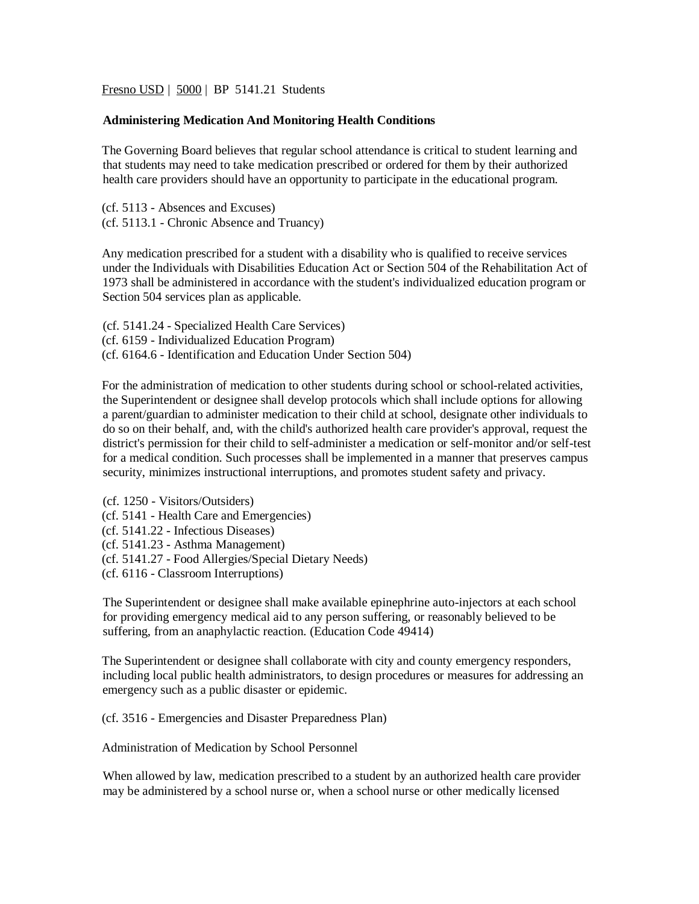Fresno USD | 5000 | BP 5141.21 Students

## **Administering Medication And Monitoring Health Conditions**

The Governing Board believes that regular school attendance is critical to student learning and that students may need to take medication prescribed or ordered for them by their authorized health care providers should have an opportunity to participate in the educational program.

(cf. 5113 - Absences and Excuses) (cf. 5113.1 - Chronic Absence and Truancy)

Any medication prescribed for a student with a disability who is qualified to receive services under the Individuals with Disabilities Education Act or Section 504 of the Rehabilitation Act of 1973 shall be administered in accordance with the student's individualized education program or Section 504 services plan as applicable.

(cf. [5141.24](http://www.gamutonline.net/displayPolicy/170915/5) - Specialized Health Care Services) (cf. 6159 - Individualized Education Program) (cf. 6164.6 - Identification and Education Under Section 504)

For the administration of medication to other students during school or school-related activities, the Superintendent or designee shall develop protocols which shall include options for allowing a parent/guardian to administer medication to their child at school, designate other individuals to do so on their behalf, and, with the child's authorized health care provider's approval, request the district's permission for their child to self-administer a medication or self-monitor and/or self-test for a medical condition. Such processes shall be implemented in a manner that preserves campus security, minimizes instructional interruptions, and promotes student safety and privacy.

- (cf. 1250 Visitors/Outsiders) (cf. 5141 - Health Care and Emergencies) (cf. 5141.22 - Infectious Diseases) (cf. 5141.23 - Asthma Management) (cf. 5141.27 - Food Allergies/Special Dietary Needs)
- (cf. 6116 Classroom Interruptions)

The Superintendent or designee shall make available epinephrine auto-injectors at each school for providing emergency medical aid to any person suffering, or reasonably believed to be suffering, from an anaphylactic reaction. (Education Code [49414\)](http://www.gamutonline.net/displayPolicy/249240/5)

The Superintendent or designee shall collaborate with city and county emergency responders, including local public health administrators, to design procedures or measures for addressing an emergency such as a public disaster or epidemic.

(cf. 3516 - Emergencies and Disaster Preparedness Plan)

Administration of Medication by School Personnel

When allowed by law, medication prescribed to a student by an authorized health care provider may be administered by a school nurse or, when a school nurse or other medically licensed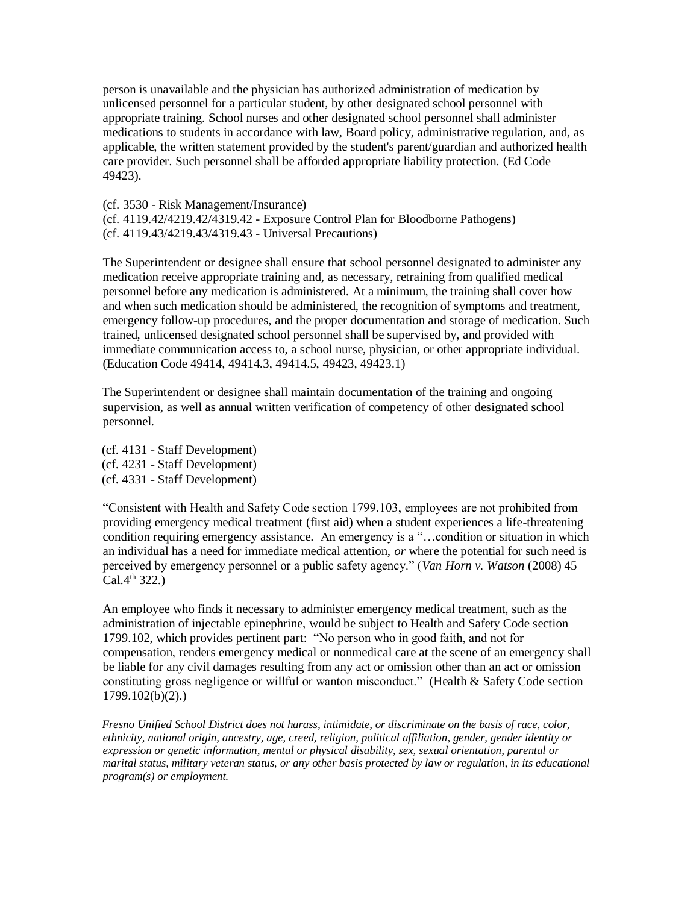person is unavailable and the physician has authorized administration of medication by unlicensed personnel for a particular student, by other designated school personnel with appropriate training. School nurses and other designated school personnel shall administer medications to students in accordance with law, Board policy, administrative regulation, and, as applicable, the written statement provided by the student's parent/guardian and authorized health care provider. Such personnel shall be afforded appropriate liability protection. (Ed Code 49423).

(cf. [3530](http://www.gamutonline.net/displayPolicy/170705/5) - Risk Management/Insurance)

(cf. [4119.42](http://www.gamutonline.net/displayPolicy/171718/5)[/4219.42](http://www.gamutonline.net/displayPolicy/171293/5)[/4319.42](http://www.gamutonline.net/displayPolicy/171294/5) - Exposure Control Plan for Bloodborne Pathogens) (cf. [4119.43](http://www.gamutonline.net/displayPolicy/171720/5)[/4219.43](http://www.gamutonline.net/displayPolicy/171297/5)[/4319.43](http://www.gamutonline.net/displayPolicy/171298/5) - Universal Precautions)

The Superintendent or designee shall ensure that school personnel designated to administer any medication receive appropriate training and, as necessary, retraining from qualified medical personnel before any medication is administered. At a minimum, the training shall cover how and when such medication should be administered, the recognition of symptoms and treatment, emergency follow-up procedures, and the proper documentation and storage of medication. Such trained, unlicensed designated school personnel shall be supervised by, and provided with immediate communication access to, a school nurse, physician, or other appropriate individual. (Education Code [49414,](http://www.gamutonline.net/displayPolicy/249240/5) 49414.3, [49414.5,](http://www.gamutonline.net/displayPolicy/315668/5) [49423,](http://www.gamutonline.net/displayPolicy/132359/5) [49423.1\)](http://www.gamutonline.net/displayPolicy/352082/5)

The Superintendent or designee shall maintain documentation of the training and ongoing supervision, as well as annual written verification of competency of other designated school personnel.

(cf. 4131 - Staff Development) (cf. 4231 - Staff Development) (cf. 4331 - Staff Development)

"Consistent with Health and Safety Code section 1799.103, employees are not prohibited from providing emergency medical treatment (first aid) when a student experiences a life-threatening condition requiring emergency assistance. An emergency is a "…condition or situation in which an individual has a need for immediate medical attention, *or* where the potential for such need is perceived by emergency personnel or a public safety agency." (*Van Horn v. Watson* (2008) 45  $Cal.4<sup>th</sup> 322.$ 

An employee who finds it necessary to administer emergency medical treatment, such as the administration of injectable epinephrine, would be subject to Health and Safety Code section 1799.102, which provides pertinent part: "No person who in good faith, and not for compensation, renders emergency medical or nonmedical care at the scene of an emergency shall be liable for any civil damages resulting from any act or omission other than an act or omission constituting gross negligence or willful or wanton misconduct." (Health & Safety Code section 1799.102(b)(2).)

*Fresno Unified School District does not harass, intimidate, or discriminate on the basis of race, color, ethnicity, national origin, ancestry, age, creed, religion, political affiliation, gender, gender identity or expression or genetic information, mental or physical disability, sex, sexual orientation, parental or marital status, military veteran status, or any other basis protected by law or regulation, in its educational program(s) or employment.*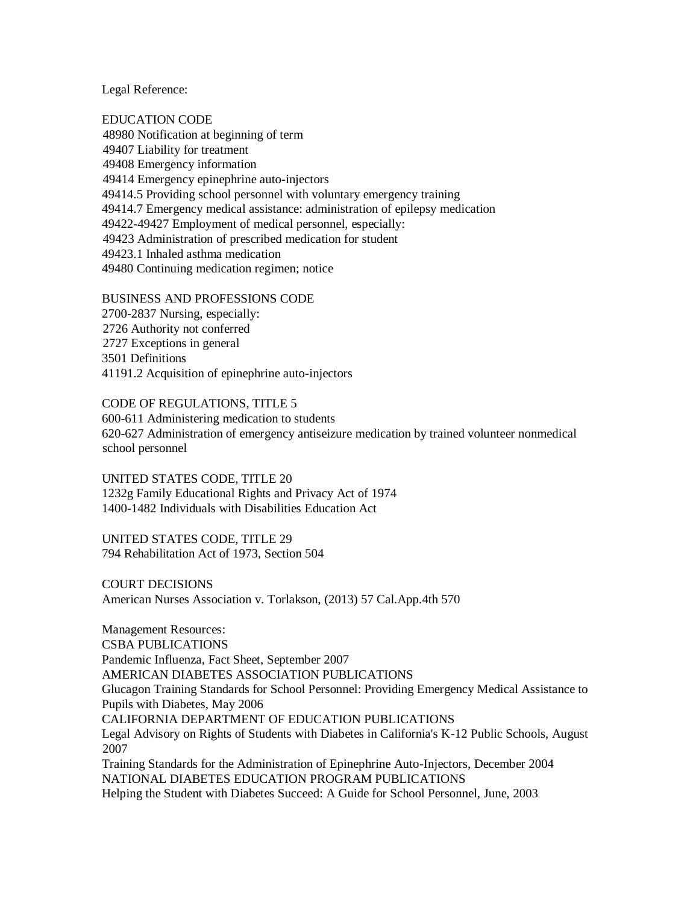Legal Reference:

EDUCATION CODE 48980 Notification at beginning of term 49407 Liability for treatment 49408 Emergency information 49414 Emergency epinephrine auto-injectors 49414.5 Providing school personnel with voluntary emergency training 49414.7 Emergency medical assistance: administration of epilepsy medication 49422-49427 Employment of medical personnel, especially: 49423 Administration of prescribed medication for student 49423.1 Inhaled asthma medication 49480 Continuing medication regimen; notice

BUSINESS AND PROFESSIONS CODE 2700-2837 Nursing, especially: 2726 Authority not conferred

2727 Exceptions in general 3501 Definitions 41191.2 Acquisition of epinephrine auto-injectors

CODE OF REGULATIONS, TITLE 5 600-611 Administering medication to students 620-627 Administration of emergency antiseizure medication by trained volunteer nonmedical school personnel

UNITED STATES CODE, TITLE 20 1232g Family Educational Rights and Privacy Act of 1974 1400-1482 Individuals with Disabilities Education Act

UNITED STATES CODE, TITLE 29 794 Rehabilitation Act of 1973, Section 504

COURT DECISIONS American Nurses Association v. Torlakson, (2013) 57 Cal.App.4th 570

Management Resources: CSBA PUBLICATIONS Pandemic Influenza, Fact Sheet, September 2007 AMERICAN DIABETES ASSOCIATION PUBLICATIONS Glucagon Training Standards for School Personnel: Providing Emergency Medical Assistance to Pupils with Diabetes, May 2006 CALIFORNIA DEPARTMENT OF EDUCATION PUBLICATIONS Legal Advisory on Rights of Students with Diabetes in California's K-12 Public Schools, August 2007 Training Standards for the Administration of Epinephrine Auto-Injectors, December 2004 NATIONAL DIABETES EDUCATION PROGRAM PUBLICATIONS

Helping the Student with Diabetes Succeed: A Guide for School Personnel, June, 2003